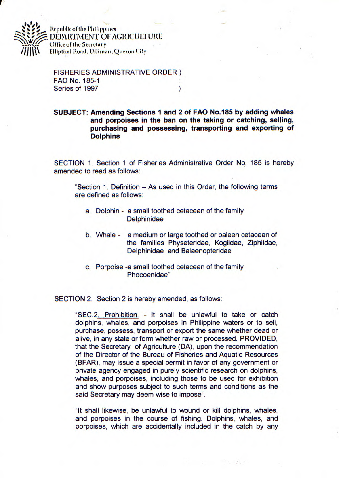

Republic of the Philippines **DEPARTMENT OF AGRICULTURE** Office of the Secretary **Elliptical Road, Diliman, Quezon City** 

FISHERIES ADMINISTRATIVE ORDER) FAO No. 185-1 Series of 1997 (1997)

**SUBJECT: Amending Sections 1 and 2 of FAO No.185 by adding whales and porpoises in the ban on the taking or catching, selling, purchasing and possessing, transporting and exporting of Dolphins** 

SECTION 1. Section 1 of Fisheries Administrative Order No. 185 is hereby amended to read as follows:

"Section 1. Definition - As used in this Order, the following terms are defined as follows:

- a. Dolphin a small toothed cetacean of the family **Delphinidae**
- b. Whale a medium or large toothed or baleen cetacean of the families Physeteridae, Kogiidae, Ziphiidae, Delphinidae and Balaenopteridae
- c. Porpoise -a small toothed cetacean of the family Phocoenidae"

SECTION 2. Section 2 is hereby amended, as follows:

SEC.2. Prohibition. - It shall be unlawful to take or catch dolphins, whales, and porpoises in Philippine waters or to sell, purchase, possess, transport or export the same whether dead or alive, in any state or form whether raw or processed. PROVIDED, that the Secretary of Agriculture (DA), upon the recommendation of the Director of the Bureau of Fisheries and Aquatic Resources (BFAR), may issue a special permit in favor of any government or private agency engaged in purely scientific research on dolphins, whales, and porpoises, including those to be used for exhibition and show purposes subject to such terms and conditions as the said Secretary may deem wise to impose".

'It shall likewise, be unlawful to wound or kill dolphins, whales, and porpoises in the course of fishing. Dolphins, whales, and porpoises, which are accidentally included in the catch by any

 $\frac{1}{2} \frac{1}{2} \frac{1}{2} \left( \frac{1}{2} \frac{1}{2} \frac{1}{2} \frac{1}{2} \frac{1}{2} \frac{1}{2} \frac{1}{2} \frac{1}{2} \frac{1}{2} \frac{1}{2} \frac{1}{2} \frac{1}{2} \frac{1}{2} \frac{1}{2} \frac{1}{2} \frac{1}{2} \frac{1}{2} \frac{1}{2} \frac{1}{2} \frac{1}{2} \frac{1}{2} \frac{1}{2} \frac{1}{2} \frac{1}{2} \frac{1}{2} \frac{1}{2} \frac{1}{2} \frac{1}{2}$